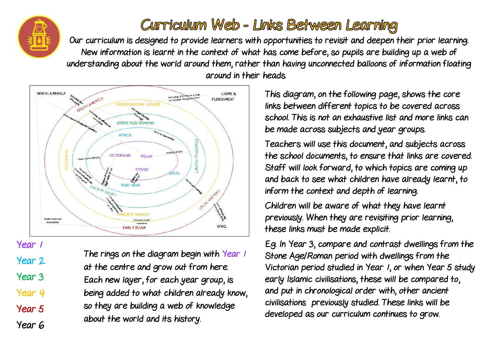## Curriculum Web - Links Between Learning

Our curriculum is designed to provide learners with opportunities to revisit and deepen their prior learning. New information is learnt in the context of what has come before, so pupils are building up a web of understanding about the world around them, rather than having unconnected balloons of information floating around in their heads.



The rings on the diagram begin with Year 1 at the centre and grow out from here. Each new layer, for each year group, is being added to what children already know, so they are building a web of knowledge about the world and its history.

Year 1

Year 2

Year 3

Year 4

Year 5

Year 6

This diagram, on the following page, shows the core links between different topics to be covered across school. This is not an exhaustive list and more links can be made across subjects and year groups.

Teachers will use this document, and subjects across the school documents, to ensure that links are covered. Staff will look forward, to which topics are coming up and back to see what children have already learnt, to inform the context and depth of learning.

Children will be aware of what they have learnt previously. When they are revisiting prior learning, these links must be made explicit.

E.g. In Year 3, compare and contrast dwellings from the Stone Age/Roman period with dwellings from the Victorian period studied in Year 1, or when Year 5 study early Islamic civilisations, these will be compared to, and put in chronological order with, other ancient civilisations previously studied. These links will be developed as our curriculum continues to grow.